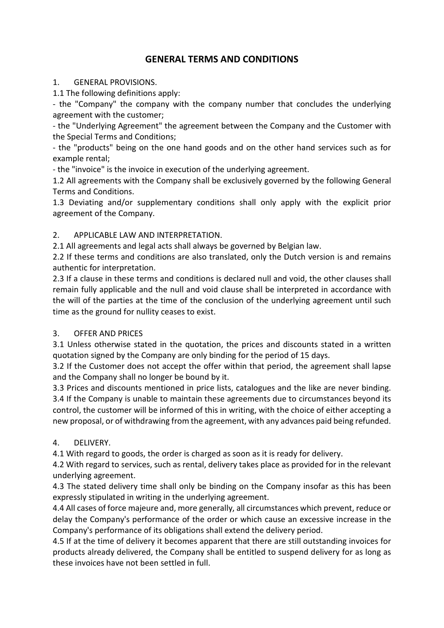# **GENERAL TERMS AND CONDITIONS**

#### 1. GENERAL PROVISIONS.

1.1 The following definitions apply:

- the "Company" the company with the company number that concludes the underlying agreement with the customer;

- the "Underlying Agreement" the agreement between the Company and the Customer with the Special Terms and Conditions;

- the "products" being on the one hand goods and on the other hand services such as for example rental;

- the "invoice" is the invoice in execution of the underlying agreement.

1.2 All agreements with the Company shall be exclusively governed by the following General Terms and Conditions.

1.3 Deviating and/or supplementary conditions shall only apply with the explicit prior agreement of the Company.

### 2. APPLICABLE LAW AND INTERPRETATION.

2.1 All agreements and legal acts shall always be governed by Belgian law.

2.2 If these terms and conditions are also translated, only the Dutch version is and remains authentic for interpretation.

2.3 If a clause in these terms and conditions is declared null and void, the other clauses shall remain fully applicable and the null and void clause shall be interpreted in accordance with the will of the parties at the time of the conclusion of the underlying agreement until such time as the ground for nullity ceases to exist.

### 3. OFFER AND PRICES

3.1 Unless otherwise stated in the quotation, the prices and discounts stated in a written quotation signed by the Company are only binding for the period of 15 days.

3.2 If the Customer does not accept the offer within that period, the agreement shall lapse and the Company shall no longer be bound by it.

3.3 Prices and discounts mentioned in price lists, catalogues and the like are never binding. 3.4 If the Company is unable to maintain these agreements due to circumstances beyond its control, the customer will be informed of this in writing, with the choice of either accepting a new proposal, or of withdrawing from the agreement, with any advances paid being refunded.

### 4. DELIVERY.

4.1 With regard to goods, the order is charged as soon as it is ready for delivery.

4.2 With regard to services, such as rental, delivery takes place as provided for in the relevant underlying agreement.

4.3 The stated delivery time shall only be binding on the Company insofar as this has been expressly stipulated in writing in the underlying agreement.

4.4 All cases of force majeure and, more generally, all circumstances which prevent, reduce or delay the Company's performance of the order or which cause an excessive increase in the Company's performance of its obligations shall extend the delivery period.

4.5 If at the time of delivery it becomes apparent that there are still outstanding invoices for products already delivered, the Company shall be entitled to suspend delivery for as long as these invoices have not been settled in full.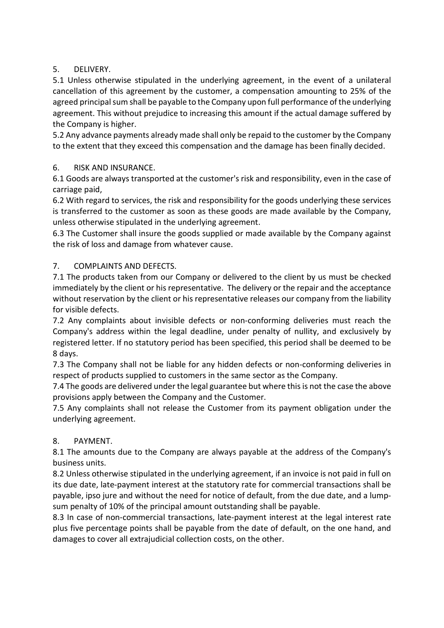## 5. DELIVERY.

5.1 Unless otherwise stipulated in the underlying agreement, in the event of a unilateral cancellation of this agreement by the customer, a compensation amounting to 25% of the agreed principal sum shall be payable to the Company upon full performance of the underlying agreement. This without prejudice to increasing this amount if the actual damage suffered by the Company is higher.

5.2 Any advance payments already made shall only be repaid to the customer by the Company to the extent that they exceed this compensation and the damage has been finally decided.

### 6. RISK AND INSURANCE.

6.1 Goods are always transported at the customer's risk and responsibility, even in the case of carriage paid,

6.2 With regard to services, the risk and responsibility for the goods underlying these services is transferred to the customer as soon as these goods are made available by the Company, unless otherwise stipulated in the underlying agreement.

6.3 The Customer shall insure the goods supplied or made available by the Company against the risk of loss and damage from whatever cause.

## 7. COMPLAINTS AND DEFECTS.

7.1 The products taken from our Company or delivered to the client by us must be checked immediately by the client or his representative. The delivery or the repair and the acceptance without reservation by the client or his representative releases our company from the liability for visible defects.

7.2 Any complaints about invisible defects or non-conforming deliveries must reach the Company's address within the legal deadline, under penalty of nullity, and exclusively by registered letter. If no statutory period has been specified, this period shall be deemed to be 8 days.

7.3 The Company shall not be liable for any hidden defects or non-conforming deliveries in respect of products supplied to customers in the same sector as the Company.

7.4 The goods are delivered under the legal guarantee but where this is not the case the above provisions apply between the Company and the Customer.

7.5 Any complaints shall not release the Customer from its payment obligation under the underlying agreement.

### 8. PAYMENT.

8.1 The amounts due to the Company are always payable at the address of the Company's business units.

8.2 Unless otherwise stipulated in the underlying agreement, if an invoice is not paid in full on its due date, late-payment interest at the statutory rate for commercial transactions shall be payable, ipso jure and without the need for notice of default, from the due date, and a lumpsum penalty of 10% of the principal amount outstanding shall be payable.

8.3 In case of non-commercial transactions, late-payment interest at the legal interest rate plus five percentage points shall be payable from the date of default, on the one hand, and damages to cover all extrajudicial collection costs, on the other.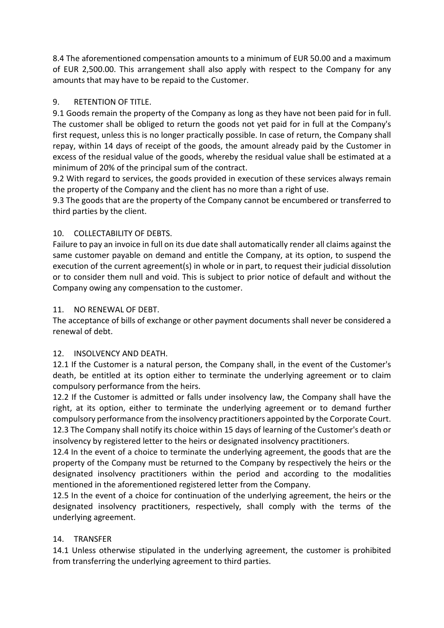8.4 The aforementioned compensation amounts to a minimum of EUR 50.00 and a maximum of EUR 2,500.00. This arrangement shall also apply with respect to the Company for any amounts that may have to be repaid to the Customer.

## 9. RETENTION OF TITLE.

9.1 Goods remain the property of the Company as long as they have not been paid for in full. The customer shall be obliged to return the goods not yet paid for in full at the Company's first request, unless this is no longer practically possible. In case of return, the Company shall repay, within 14 days of receipt of the goods, the amount already paid by the Customer in excess of the residual value of the goods, whereby the residual value shall be estimated at a minimum of 20% of the principal sum of the contract.

9.2 With regard to services, the goods provided in execution of these services always remain the property of the Company and the client has no more than a right of use.

9.3 The goods that are the property of the Company cannot be encumbered or transferred to third parties by the client.

## 10. COLLECTABILITY OF DEBTS.

Failure to pay an invoice in full on its due date shall automatically render all claims against the same customer payable on demand and entitle the Company, at its option, to suspend the execution of the current agreement(s) in whole or in part, to request their judicial dissolution or to consider them null and void. This is subject to prior notice of default and without the Company owing any compensation to the customer.

### 11. NO RENEWAL OF DEBT.

The acceptance of bills of exchange or other payment documents shall never be considered a renewal of debt.

### 12. INSOLVENCY AND DEATH.

12.1 If the Customer is a natural person, the Company shall, in the event of the Customer's death, be entitled at its option either to terminate the underlying agreement or to claim compulsory performance from the heirs.

12.2 If the Customer is admitted or falls under insolvency law, the Company shall have the right, at its option, either to terminate the underlying agreement or to demand further compulsory performance from the insolvency practitioners appointed by the Corporate Court. 12.3 The Company shall notify its choice within 15 days of learning of the Customer's death or insolvency by registered letter to the heirs or designated insolvency practitioners.

12.4 In the event of a choice to terminate the underlying agreement, the goods that are the property of the Company must be returned to the Company by respectively the heirs or the designated insolvency practitioners within the period and according to the modalities mentioned in the aforementioned registered letter from the Company.

12.5 In the event of a choice for continuation of the underlying agreement, the heirs or the designated insolvency practitioners, respectively, shall comply with the terms of the underlying agreement.

## 14. TRANSFER

14.1 Unless otherwise stipulated in the underlying agreement, the customer is prohibited from transferring the underlying agreement to third parties.